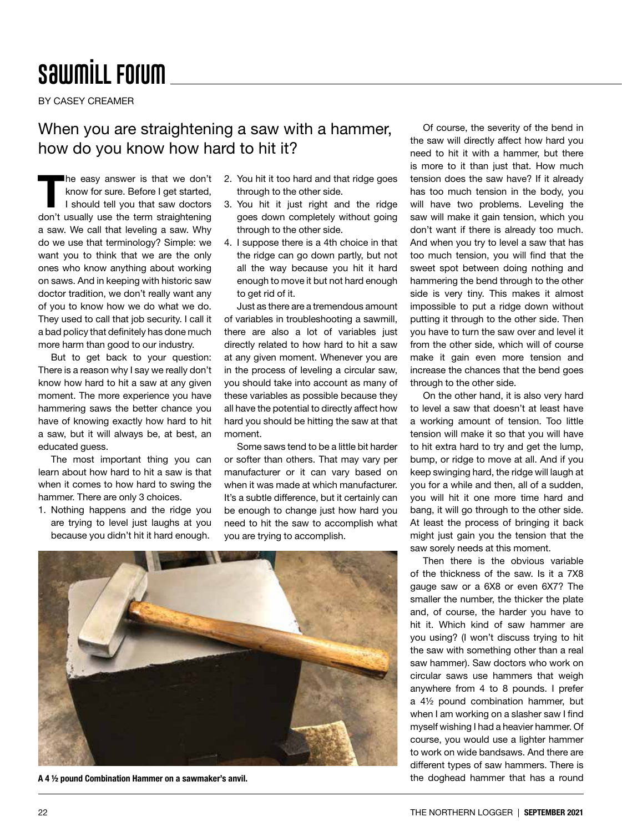## **SawmiLL Forum**

BY CASEY CREAMER

## When you are straightening a saw with a hammer, how do you know how hard to hit it?

The easy answer is that we don't<br>
know for sure. Before I get started,<br>
I should tell you that saw doctors know for sure. Before I get started, I should tell you that saw doctors don't usually use the term straightening a saw. We call that leveling a saw. Why do we use that terminology? Simple: we want you to think that we are the only ones who know anything about working on saws. And in keeping with historic saw doctor tradition, we don't really want any of you to know how we do what we do. They used to call that job security. I call it a bad policy that definitely has done much more harm than good to our industry.

But to get back to your question: There is a reason why I say we really don't know how hard to hit a saw at any given moment. The more experience you have hammering saws the better chance you have of knowing exactly how hard to hit a saw, but it will always be, at best, an educated guess.

The most important thing you can learn about how hard to hit a saw is that when it comes to how hard to swing the hammer. There are only 3 choices.

1. Nothing happens and the ridge you are trying to level just laughs at you because you didn't hit it hard enough.

- 2. You hit it too hard and that ridge goes through to the other side.
- 3. You hit it just right and the ridge goes down completely without going through to the other side.
- 4. I suppose there is a 4th choice in that the ridge can go down partly, but not all the way because you hit it hard enough to move it but not hard enough to get rid of it.

Just as there are a tremendous amount of variables in troubleshooting a sawmill, there are also a lot of variables just directly related to how hard to hit a saw at any given moment. Whenever you are in the process of leveling a circular saw, you should take into account as many of these variables as possible because they all have the potential to directly affect how hard you should be hitting the saw at that moment.

Some saws tend to be a little bit harder or softer than others. That may vary per manufacturer or it can vary based on when it was made at which manufacturer. It's a subtle difference, but it certainly can be enough to change just how hard you need to hit the saw to accomplish what you are trying to accomplish.



A 4 1/2 pound Combination Hammer on a sawmaker's anvil.

Of course, the severity of the bend in the saw will directly affect how hard you need to hit it with a hammer, but there is more to it than just that. How much tension does the saw have? If it already has too much tension in the body, you will have two problems. Leveling the saw will make it gain tension, which you don't want if there is already too much. And when you try to level a saw that has too much tension, you will find that the sweet spot between doing nothing and hammering the bend through to the other side is very tiny. This makes it almost impossible to put a ridge down without putting it through to the other side. Then you have to turn the saw over and level it from the other side, which will of course make it gain even more tension and increase the chances that the bend goes through to the other side.

On the other hand, it is also very hard to level a saw that doesn't at least have a working amount of tension. Too little tension will make it so that you will have to hit extra hard to try and get the lump, bump, or ridge to move at all. And if you keep swinging hard, the ridge will laugh at you for a while and then, all of a sudden, you will hit it one more time hard and bang, it will go through to the other side. At least the process of bringing it back might just gain you the tension that the saw sorely needs at this moment.

Then there is the obvious variable of the thickness of the saw. Is it a 7X8 gauge saw or a 6X8 or even 6X7? The smaller the number, the thicker the plate and, of course, the harder you have to hit it. Which kind of saw hammer are you using? (I won't discuss trying to hit the saw with something other than a real saw hammer). Saw doctors who work on circular saws use hammers that weigh anywhere from 4 to 8 pounds. I prefer a 4½ pound combination hammer, but when I am working on a slasher saw I find myself wishing I had a heavier hammer. Of course, you would use a lighter hammer to work on wide bandsaws. And there are different types of saw hammers. There is the doghead hammer that has a round